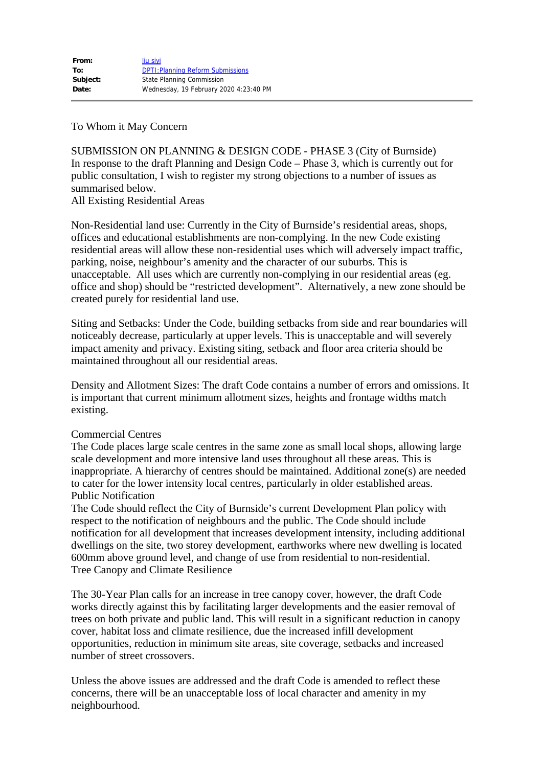## To Whom it May Concern

SUBMISSION ON PLANNING & DESIGN CODE - PHASE 3 (City of Burnside) In response to the draft Planning and Design Code – Phase 3, which is currently out for public consultation, I wish to register my strong objections to a number of issues as summarised below.

All Existing Residential Areas

Non-Residential land use: Currently in the City of Burnside's residential areas, shops, offices and educational establishments are non-complying. In the new Code existing residential areas will allow these non-residential uses which will adversely impact traffic, parking, noise, neighbour's amenity and the character of our suburbs. This is unacceptable. All uses which are currently non-complying in our residential areas (eg. office and shop) should be "restricted development". Alternatively, a new zone should be created purely for residential land use.

Siting and Setbacks: Under the Code, building setbacks from side and rear boundaries will noticeably decrease, particularly at upper levels. This is unacceptable and will severely impact amenity and privacy. Existing siting, setback and floor area criteria should be maintained throughout all our residential areas.

Density and Allotment Sizes: The draft Code contains a number of errors and omissions. It is important that current minimum allotment sizes, heights and frontage widths match existing.

## Commercial Centres

The Code places large scale centres in the same zone as small local shops, allowing large scale development and more intensive land uses throughout all these areas. This is inappropriate. A hierarchy of centres should be maintained. Additional zone(s) are needed to cater for the lower intensity local centres, particularly in older established areas. Public Notification

The Code should reflect the City of Burnside's current Development Plan policy with respect to the notification of neighbours and the public. The Code should include notification for all development that increases development intensity, including additional dwellings on the site, two storey development, earthworks where new dwelling is located 600mm above ground level, and change of use from residential to non-residential. Tree Canopy and Climate Resilience

The 30-Year Plan calls for an increase in tree canopy cover, however, the draft Code works directly against this by facilitating larger developments and the easier removal of trees on both private and public land. This will result in a significant reduction in canopy cover, habitat loss and climate resilience, due the increased infill development opportunities, reduction in minimum site areas, site coverage, setbacks and increased number of street crossovers.

Unless the above issues are addressed and the draft Code is amended to reflect these concerns, there will be an unacceptable loss of local character and amenity in my neighbourhood.